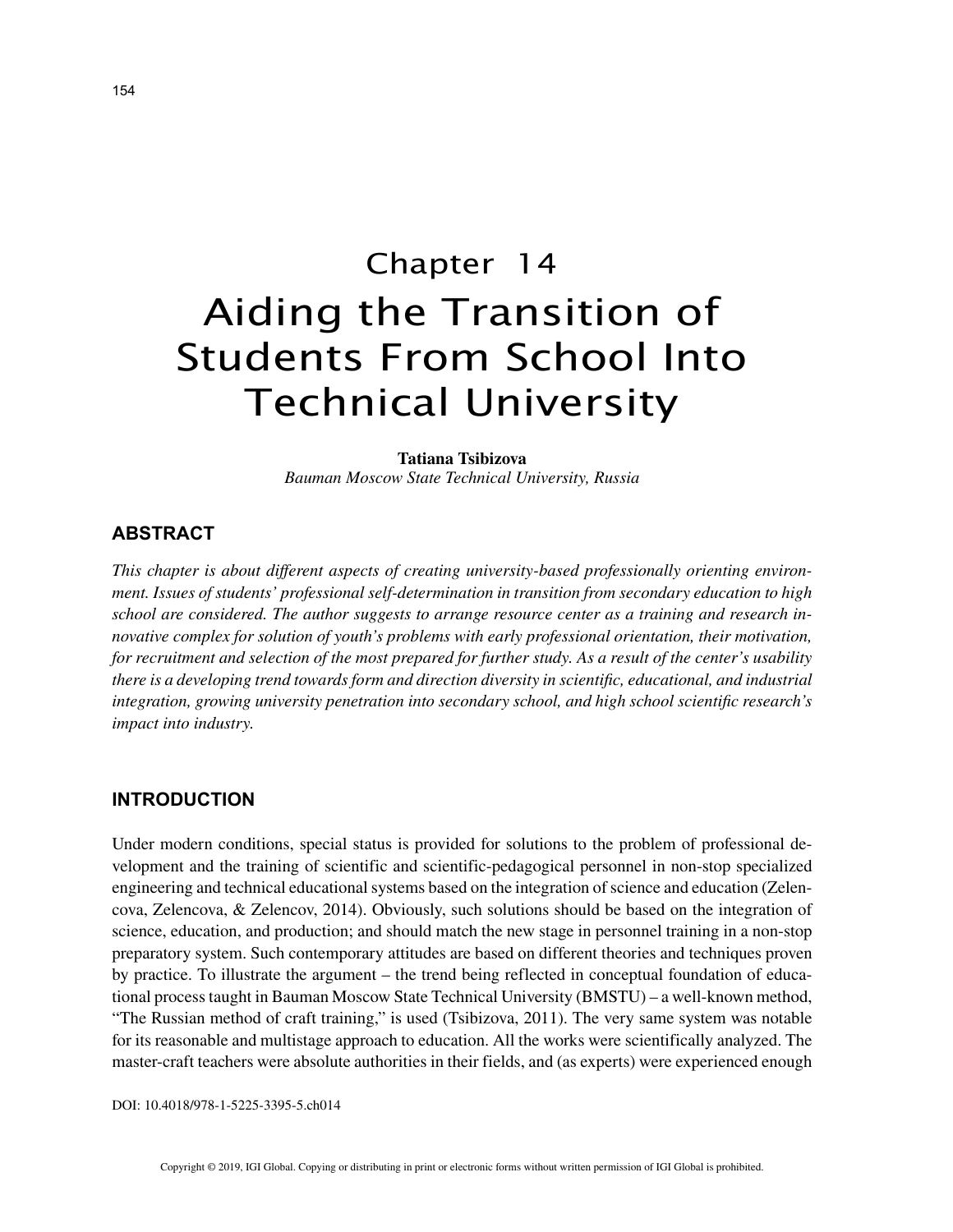# Chapter 14 Aiding the Transition of Students From School Into Technical University

#### **Tatiana Tsibizova**

*Bauman Moscow State Technical University, Russia*

## **ABSTRACT**

*This chapter is about different aspects of creating university-based professionally orienting environment. Issues of students' professional self-determination in transition from secondary education to high school are considered. The author suggests to arrange resource center as a training and research innovative complex for solution of youth's problems with early professional orientation, their motivation, for recruitment and selection of the most prepared for further study. As a result of the center's usability there is a developing trend towards form and direction diversity in scientific, educational, and industrial integration, growing university penetration into secondary school, and high school scientific research's impact into industry.*

## **INTRODUCTION**

Under modern conditions, special status is provided for solutions to the problem of professional development and the training of scientific and scientific-pedagogical personnel in non-stop specialized engineering and technical educational systems based on the integration of science and education (Zelencova, Zelencova, & Zelencov, 2014). Obviously, such solutions should be based on the integration of science, education, and production; and should match the new stage in personnel training in a non-stop preparatory system. Such contemporary attitudes are based on different theories and techniques proven by practice. To illustrate the argument – the trend being reflected in conceptual foundation of educational process taught in Bauman Moscow State Technical University (BMSTU) – a well-known method, "The Russian method of craft training," is used (Tsibizova, 2011). The very same system was notable for its reasonable and multistage approach to education. All the works were scientifically analyzed. The master-craft teachers were absolute authorities in their fields, and (as experts) were experienced enough

DOI: 10.4018/978-1-5225-3395-5.ch014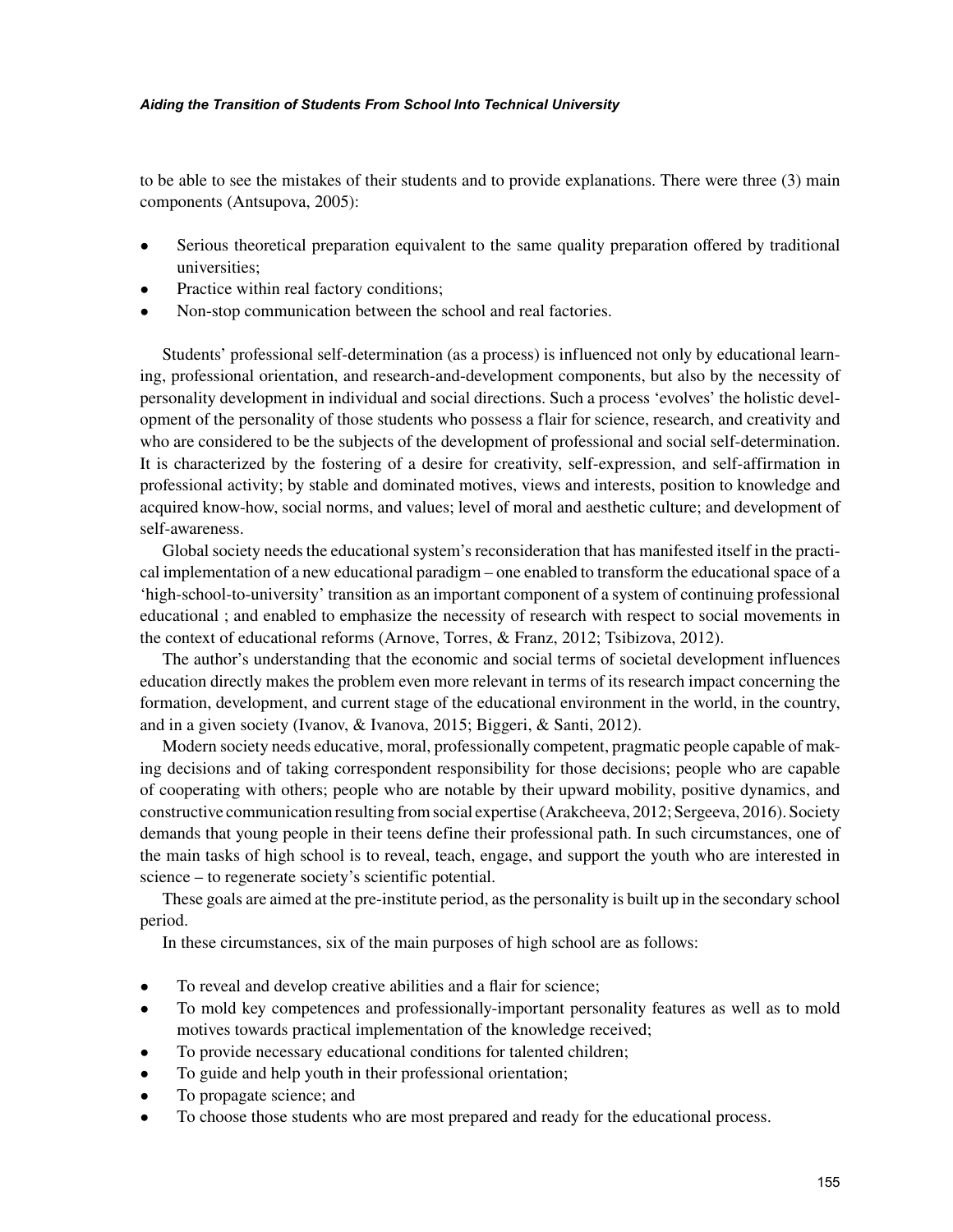#### *Aiding the Transition of Students From School Into Technical University*

to be able to see the mistakes of their students and to provide explanations. There were three (3) main components (Antsupova, 2005):

- Serious theoretical preparation equivalent to the same quality preparation offered by traditional universities;
- Practice within real factory conditions;
- Non-stop communication between the school and real factories.

Students' professional self-determination (as a process) is influenced not only by educational learning, professional orientation, and research-and-development components, but also by the necessity of personality development in individual and social directions. Such a process 'evolves' the holistic development of the personality of those students who possess a flair for science, research, and creativity and who are considered to be the subjects of the development of professional and social self-determination. It is characterized by the fostering of a desire for creativity, self-expression, and self-affirmation in professional activity; by stable and dominated motives, views and interests, position to knowledge and acquired know-how, social norms, and values; level of moral and aesthetic culture; and development of self-awareness.

Global society needs the educational system's reconsideration that has manifested itself in the practical implementation of a new educational paradigm – one enabled to transform the educational space of a 'high-school-to-university' transition as an important component of a system of continuing professional educational ; and enabled to emphasize the necessity of research with respect to social movements in the context of educational reforms (Arnove, Torres, & Franz, 2012; Tsibizova, 2012).

The author's understanding that the economic and social terms of societal development influences education directly makes the problem even more relevant in terms of its research impact concerning the formation, development, and current stage of the educational environment in the world, in the country, and in a given society (Ivanov, & Ivanova, 2015; Biggeri, & Santi, 2012).

Modern society needs educative, moral, professionally competent, pragmatic people capable of making decisions and of taking correspondent responsibility for those decisions; people who are capable of cooperating with others; people who are notable by their upward mobility, positive dynamics, and constructive communication resulting from social expertise (Arakcheeva, 2012; Sergeeva, 2016). Society demands that young people in their teens define their professional path. In such circumstances, one of the main tasks of high school is to reveal, teach, engage, and support the youth who are interested in science – to regenerate society's scientific potential.

These goals are aimed at the pre-institute period, as the personality is built up in the secondary school period.

In these circumstances, six of the main purposes of high school are as follows:

- To reveal and develop creative abilities and a flair for science;
- To mold key competences and professionally-important personality features as well as to mold motives towards practical implementation of the knowledge received;
- To provide necessary educational conditions for talented children;
- To guide and help youth in their professional orientation;
- To propagate science; and
- To choose those students who are most prepared and ready for the educational process.